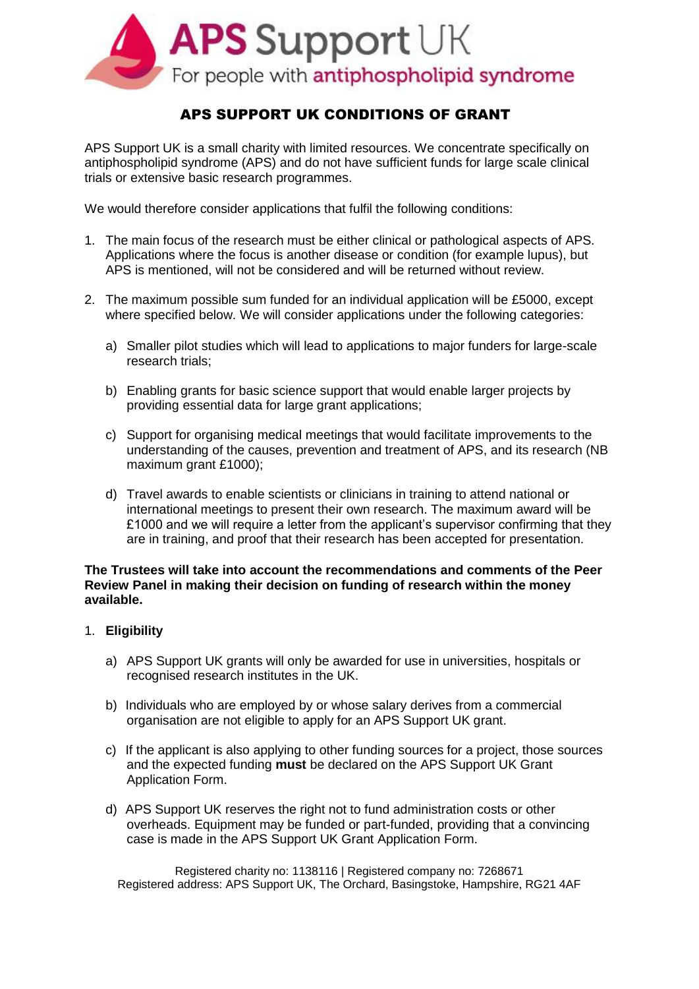

# APS SUPPORT UK CONDITIONS OF GRANT

APS Support UK is a small charity with limited resources. We concentrate specifically on antiphospholipid syndrome (APS) and do not have sufficient funds for large scale clinical trials or extensive basic research programmes.

We would therefore consider applications that fulfil the following conditions:

- 1. The main focus of the research must be either clinical or pathological aspects of APS. Applications where the focus is another disease or condition (for example lupus), but APS is mentioned, will not be considered and will be returned without review.
- 2. The maximum possible sum funded for an individual application will be £5000, except where specified below. We will consider applications under the following categories:
	- a) Smaller pilot studies which will lead to applications to major funders for large-scale research trials;
	- b) Enabling grants for basic science support that would enable larger projects by providing essential data for large grant applications;
	- c) Support for organising medical meetings that would facilitate improvements to the understanding of the causes, prevention and treatment of APS, and its research (NB maximum grant £1000);
	- d) Travel awards to enable scientists or clinicians in training to attend national or international meetings to present their own research. The maximum award will be £1000 and we will require a letter from the applicant's supervisor confirming that they are in training, and proof that their research has been accepted for presentation.

#### **The Trustees will take into account the recommendations and comments of the Peer Review Panel in making their decision on funding of research within the money available.**

### 1. **Eligibility**

- a) APS Support UK grants will only be awarded for use in universities, hospitals or recognised research institutes in the UK.
- b) Individuals who are employed by or whose salary derives from a commercial organisation are not eligible to apply for an APS Support UK grant.
- c) If the applicant is also applying to other funding sources for a project, those sources and the expected funding **must** be declared on the APS Support UK Grant Application Form.
- d) APS Support UK reserves the right not to fund administration costs or other overheads. Equipment may be funded or part-funded, providing that a convincing case is made in the APS Support UK Grant Application Form.

Registered charity no: 1138116 | Registered company no: 7268671 Registered address: APS Support UK, The Orchard, Basingstoke, Hampshire, RG21 4AF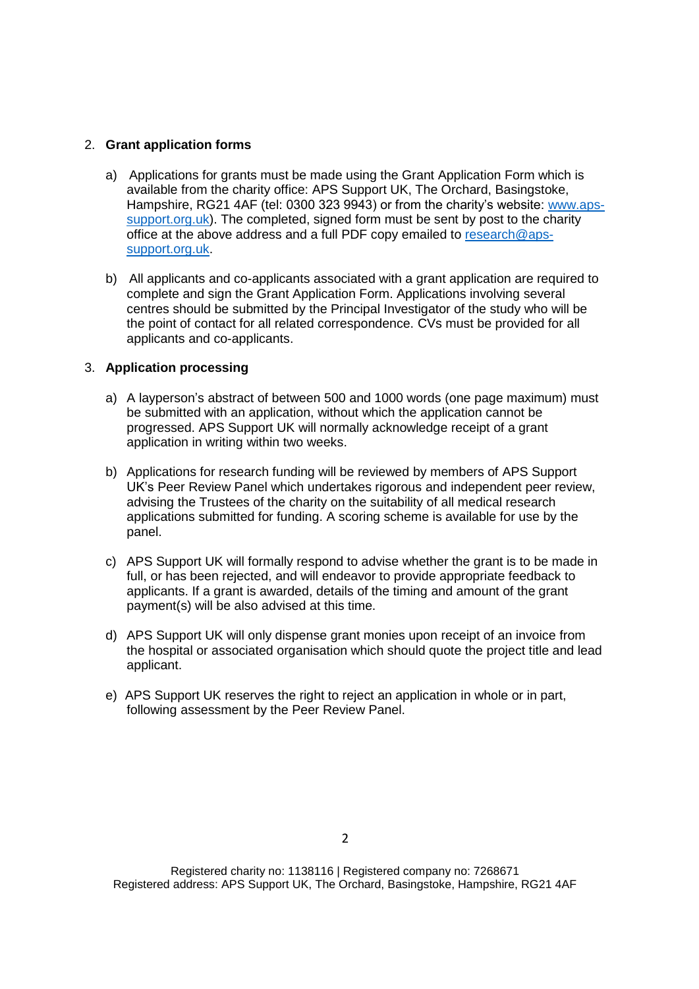### 2. **Grant application forms**

- a) Applications for grants must be made using the Grant Application Form which is available from the charity office: APS Support UK, The Orchard, Basingstoke, Hampshire, RG21 4AF (tel: 0300 323 9943) or from the charity's website: [www.aps](http://www.aps-support.org.uk/)[support.org.uk\)](http://www.aps-support.org.uk/). The completed, signed form must be sent by post to the charity office at the above address and a full PDF copy emailed to [research@aps](mailto:research@aps-support.org.uk)[support.org.uk.](mailto:research@aps-support.org.uk)
- b) All applicants and co-applicants associated with a grant application are required to complete and sign the Grant Application Form. Applications involving several centres should be submitted by the Principal Investigator of the study who will be the point of contact for all related correspondence. CVs must be provided for all applicants and co-applicants.

### 3. **Application processing**

- a) A layperson's abstract of between 500 and 1000 words (one page maximum) must be submitted with an application, without which the application cannot be progressed. APS Support UK will normally acknowledge receipt of a grant application in writing within two weeks.
- b) Applications for research funding will be reviewed by members of APS Support UK's Peer Review Panel which undertakes rigorous and independent peer review, advising the Trustees of the charity on the suitability of all medical research applications submitted for funding. A scoring scheme is available for use by the panel.
- c) APS Support UK will formally respond to advise whether the grant is to be made in full, or has been rejected, and will endeavor to provide appropriate feedback to applicants. If a grant is awarded, details of the timing and amount of the grant payment(s) will be also advised at this time.
- d) APS Support UK will only dispense grant monies upon receipt of an invoice from the hospital or associated organisation which should quote the project title and lead applicant.
- e) APS Support UK reserves the right to reject an application in whole or in part, following assessment by the Peer Review Panel.

Registered charity no: 1138116 | Registered company no: 7268671 Registered address: APS Support UK, The Orchard, Basingstoke, Hampshire, RG21 4AF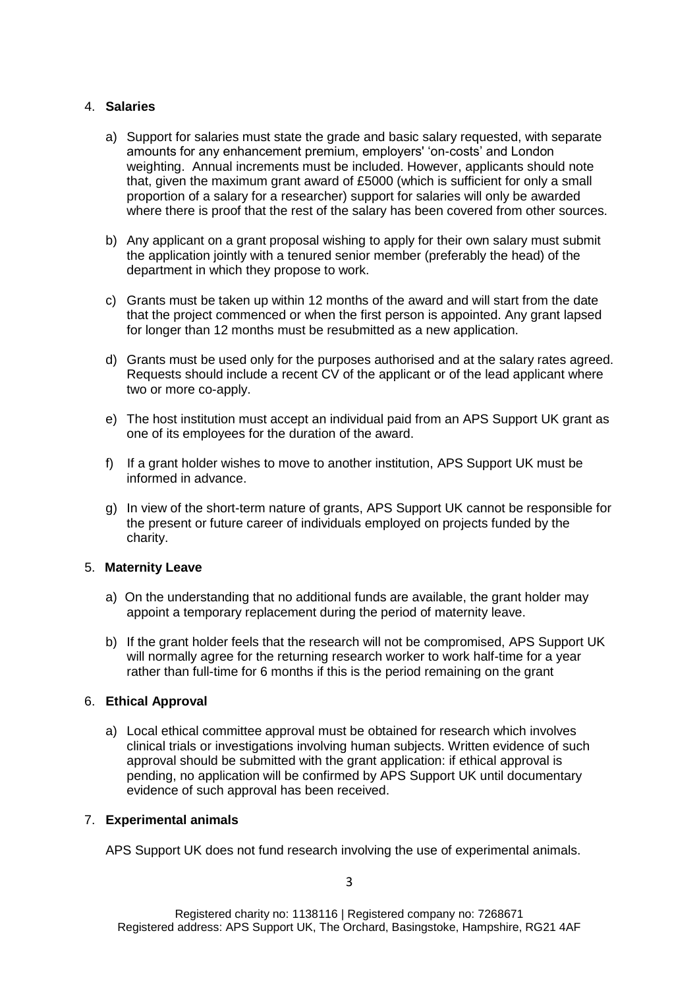### 4. **Salaries**

- a) Support for salaries must state the grade and basic salary requested, with separate amounts for any enhancement premium, employers' 'on-costs' and London weighting. Annual increments must be included. However, applicants should note that, given the maximum grant award of £5000 (which is sufficient for only a small proportion of a salary for a researcher) support for salaries will only be awarded where there is proof that the rest of the salary has been covered from other sources.
- b) Any applicant on a grant proposal wishing to apply for their own salary must submit the application jointly with a tenured senior member (preferably the head) of the department in which they propose to work.
- c) Grants must be taken up within 12 months of the award and will start from the date that the project commenced or when the first person is appointed. Any grant lapsed for longer than 12 months must be resubmitted as a new application.
- d) Grants must be used only for the purposes authorised and at the salary rates agreed. Requests should include a recent CV of the applicant or of the lead applicant where two or more co-apply.
- e) The host institution must accept an individual paid from an APS Support UK grant as one of its employees for the duration of the award.
- f) If a grant holder wishes to move to another institution, APS Support UK must be informed in advance.
- g) In view of the short-term nature of grants, APS Support UK cannot be responsible for the present or future career of individuals employed on projects funded by the charity.

### 5. **Maternity Leave**

- a) On the understanding that no additional funds are available, the grant holder may appoint a temporary replacement during the period of maternity leave.
- b) If the grant holder feels that the research will not be compromised, APS Support UK will normally agree for the returning research worker to work half-time for a year rather than full-time for 6 months if this is the period remaining on the grant

### 6. **Ethical Approval**

a) Local ethical committee approval must be obtained for research which involves clinical trials or investigations involving human subjects. Written evidence of such approval should be submitted with the grant application: if ethical approval is pending, no application will be confirmed by APS Support UK until documentary evidence of such approval has been received.

### 7. **Experimental animals**

APS Support UK does not fund research involving the use of experimental animals.